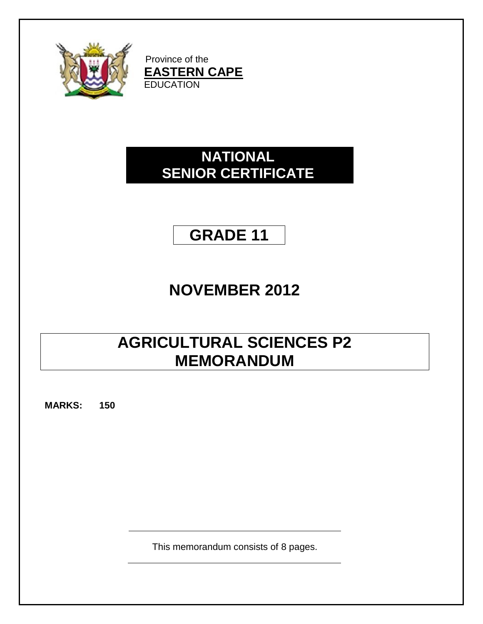

Province of the **EASTERN CAPE EDUCATION** 

# **NATIONAL SENIOR CERTIFICATE**

# **GRADE 11**

# **NOVEMBER 2012**

# **AGRICULTURAL SCIENCES P2 MEMORANDUM**

**MARKS: 150**

This memorandum consists of 8 pages.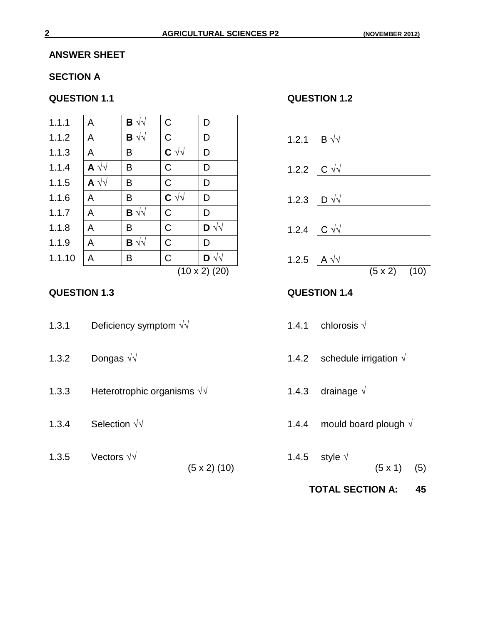### **ANSWER SHEET**

### **SECTION A**

| 1.1.1  | $\mathsf{A}$                 | $\mathbf{B} \sqrt{\sqrt{2}}$ | $\mathsf{C}$ | D                            |                    |              |
|--------|------------------------------|------------------------------|--------------|------------------------------|--------------------|--------------|
| 1.1.2  | $\mathsf{A}$                 | $\mathbf{B} \sqrt{\sqrt{2}}$ | $\mathsf{C}$ | D                            | 1.2.1              | $B \sqrt{v}$ |
| 1.1.3  | A                            | B                            | $C \sqrt{2}$ | D                            |                    |              |
| 1.1.4  | $\mathsf{A} \vee \vee$       | B                            | $\mathsf{C}$ | D                            | 1.2.2 $C \sqrt{v}$ |              |
| 1.1.5  | $\mathbf{A} \sqrt{\sqrt{2}}$ | B                            | $\mathsf{C}$ | D                            |                    |              |
| 1.1.6  | A                            | B                            | $C \sqrt{d}$ | D                            | 1.2.3 $D \sqrt{v}$ |              |
| 1.1.7  | A                            | $\mathbf{B} \sqrt{\sqrt{2}}$ | $\mathsf{C}$ | D                            |                    |              |
| 1.1.8  | A                            | B                            | $\mathsf{C}$ | $\mathbf{D} \sqrt{\sqrt{2}}$ | 1.2.4              | $C \sqrt{v}$ |
| 1.1.9  | A                            | $\mathbf{B} \sqrt{\sqrt{2}}$ | $\mathsf{C}$ | D                            |                    |              |
| 1.1.10 | A                            | B                            | $\mathsf{C}$ | $\mathbf{D} \sqrt{\sqrt{2}}$ | 1.2.5 A $\sqrt{v}$ |              |
|        |                              |                              |              | $(10 \times 2)$ (20)         |                    |              |

| 1.3.1 | Deficiency symptom $\sqrt{v}$ |  |
|-------|-------------------------------|--|
|-------|-------------------------------|--|

- 
- 1.3.3 Heterotrophic organisms  $\sqrt{$  1.4.3 drainage  $\sqrt{}$
- 
- 1.3.5 Vectors √√ 1.4.5 style √

#### **QUESTION 1.1 QUESTION 1.2**

- 1.2.1 <u>B √√ C D 1.2.1</u> 1.2.2 C √√ **C** 1.2.2 C √√ B 2.2 C √√ B 2.2 C √ √ B 2.2 C √ √ B 2.2 C √ √ B 2.2 C √ √ B 2.2 C √ √ B 2.2 C √ √ B 2.2 C √ √ B 2.2 C √ √ B 2.2 C √ √ B 2.2 C √ √ B 2.2 C √ √ B 2.2 C √ √ B 2.2 C √ √ B 2.2 C √ √ B 2.2 C √ √ B 2. 1.2.3 <u>D √√ D 1.2.3</u> 1.2.4 C √√ **D** ∴  $(10 \times 2)$   $(20)$   $(5 \times 2)$   $(10)$ **QUESTION 1.3 QUESTION 1.4** 1.4.1 chlorosis  $\sqrt{}$ 1.3.2 Dongas √√ 1.4.2 schedule irrigation  $\sqrt{ }$
- 1.3.4 Selection  $\sqrt{$  1.4.4 mould board plough  $\sqrt{}$ 
	- $(5 \times 2) (10)$   $(5 \times 1) (5)$ 
		- **TOTAL SECTION A: 45**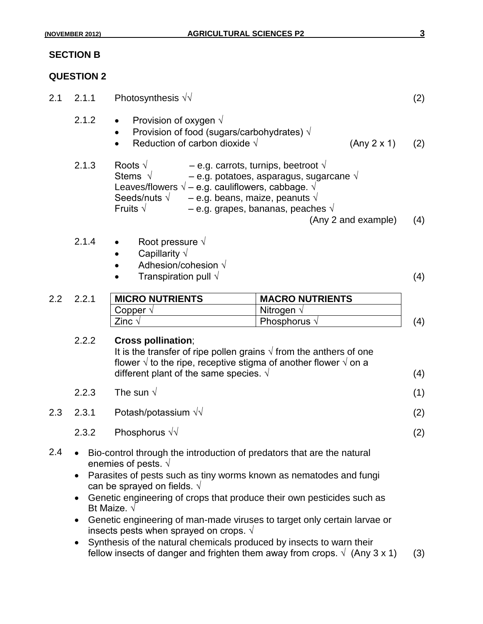## **SECTION B**

## **QUESTION 2**

| 2.1 | 2.1.1                                                                                                                                                                                                                                                                                                                                                                                                                                                                                                                                                                                                                                                                       | Photosynthesis $\sqrt{v}$                                                                                                                                                                                                                                                                                                                                                                                                                                                                                                                    |                        |  |     |
|-----|-----------------------------------------------------------------------------------------------------------------------------------------------------------------------------------------------------------------------------------------------------------------------------------------------------------------------------------------------------------------------------------------------------------------------------------------------------------------------------------------------------------------------------------------------------------------------------------------------------------------------------------------------------------------------------|----------------------------------------------------------------------------------------------------------------------------------------------------------------------------------------------------------------------------------------------------------------------------------------------------------------------------------------------------------------------------------------------------------------------------------------------------------------------------------------------------------------------------------------------|------------------------|--|-----|
|     | 2.1.2                                                                                                                                                                                                                                                                                                                                                                                                                                                                                                                                                                                                                                                                       | Provision of oxygen $\sqrt{ }$<br>$\bullet$<br>Provision of food (sugars/carbohydrates) $\sqrt{}$<br>Reduction of carbon dioxide $\sqrt{ }$<br>(Any 2 x 1)<br>Roots $\sqrt{ }$<br>- e.g. carrots, turnips, beetroot $\sqrt{ }$<br>Stems $\sqrt{ }$<br>$-$ e.g. potatoes, asparagus, sugarcane $\sqrt{ }$<br>Leaves/flowers $\sqrt{ }$ – e.g. cauliflowers, cabbage. $\sqrt{ }$<br>Seeds/nuts $\sqrt{}$<br>- e.g. beans, maize, peanuts $\sqrt{ }$<br>Fruits $\sqrt{}$<br>$-$ e.g. grapes, bananas, peaches $\sqrt{ }$<br>(Any 2 and example) |                        |  | (2) |
|     | 2.1.3                                                                                                                                                                                                                                                                                                                                                                                                                                                                                                                                                                                                                                                                       |                                                                                                                                                                                                                                                                                                                                                                                                                                                                                                                                              |                        |  | (4) |
|     | 2.1.4                                                                                                                                                                                                                                                                                                                                                                                                                                                                                                                                                                                                                                                                       | Root pressure $\sqrt{ }$<br>Capillarity $\sqrt{}$<br>Adhesion/cohesion $\sqrt{}$<br>Transpiration pull $\sqrt{ }$                                                                                                                                                                                                                                                                                                                                                                                                                            |                        |  | (4) |
| 2.2 | 2.2.1                                                                                                                                                                                                                                                                                                                                                                                                                                                                                                                                                                                                                                                                       | <b>MICRO NUTRIENTS</b>                                                                                                                                                                                                                                                                                                                                                                                                                                                                                                                       | <b>MACRO NUTRIENTS</b> |  |     |
|     |                                                                                                                                                                                                                                                                                                                                                                                                                                                                                                                                                                                                                                                                             | Copper $\sqrt{ }$                                                                                                                                                                                                                                                                                                                                                                                                                                                                                                                            | Nitrogen $\sqrt{ }$    |  |     |
|     |                                                                                                                                                                                                                                                                                                                                                                                                                                                                                                                                                                                                                                                                             | Zinc $\sqrt{ }$                                                                                                                                                                                                                                                                                                                                                                                                                                                                                                                              | Phosphorus $\sqrt{}$   |  | (4) |
|     | 2.2.2                                                                                                                                                                                                                                                                                                                                                                                                                                                                                                                                                                                                                                                                       | <b>Cross pollination;</b><br>It is the transfer of ripe pollen grains $\sqrt{ }$ from the anthers of one<br>flower $\sqrt{ }$ to the ripe, receptive stigma of another flower $\sqrt{ }$ on a<br>different plant of the same species. $\sqrt{ }$                                                                                                                                                                                                                                                                                             |                        |  |     |
|     | 2.2.3                                                                                                                                                                                                                                                                                                                                                                                                                                                                                                                                                                                                                                                                       | The sun $\sqrt{ }$                                                                                                                                                                                                                                                                                                                                                                                                                                                                                                                           |                        |  |     |
| 2.3 | 2.3.1                                                                                                                                                                                                                                                                                                                                                                                                                                                                                                                                                                                                                                                                       | Potash/potassium $\sqrt{\sqrt{}}$                                                                                                                                                                                                                                                                                                                                                                                                                                                                                                            |                        |  | (2) |
|     | 2.3.2                                                                                                                                                                                                                                                                                                                                                                                                                                                                                                                                                                                                                                                                       | Phosphorus $\sqrt{v}$                                                                                                                                                                                                                                                                                                                                                                                                                                                                                                                        |                        |  | (2) |
| 2.4 | Bio-control through the introduction of predators that are the natural<br>enemies of pests. $\sqrt{ }$<br>Parasites of pests such as tiny worms known as nematodes and fungi<br>$\bullet$<br>can be sprayed on fields. $\sqrt{ }$<br>Genetic engineering of crops that produce their own pesticides such as<br>$\bullet$<br>Bt Maize. $\sqrt{}$<br>Genetic engineering of man-made viruses to target only certain larvae or<br>$\bullet$<br>insects pests when sprayed on crops. $\sqrt{ }$<br>Synthesis of the natural chemicals produced by insects to warn their<br>$\bullet$<br>fellow insects of danger and frighten them away from crops. $\sqrt{(Any 3 x 1)}$<br>(3) |                                                                                                                                                                                                                                                                                                                                                                                                                                                                                                                                              |                        |  |     |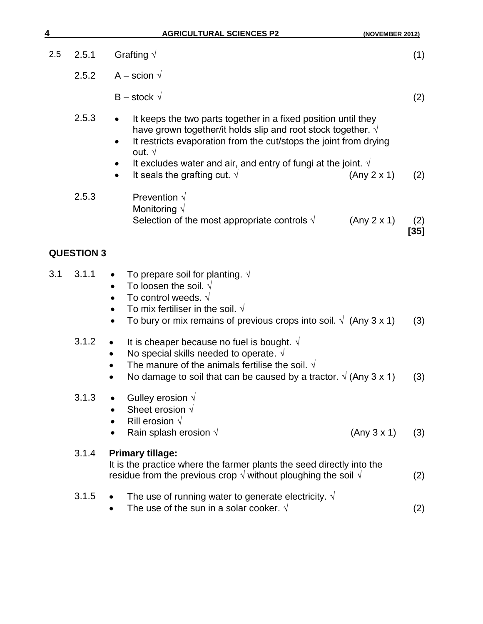| 4   |                   | <b>AGRICULTURAL SCIENCES P2</b><br>(NOVEMBER 2012)                                                                                                                                                                                                                                                                                                                |             |
|-----|-------------------|-------------------------------------------------------------------------------------------------------------------------------------------------------------------------------------------------------------------------------------------------------------------------------------------------------------------------------------------------------------------|-------------|
| 2.5 | 2.5.1             | Grafting $\sqrt{}$                                                                                                                                                                                                                                                                                                                                                | (1)         |
|     | 2.5.2             | A – scion $\sqrt{}$                                                                                                                                                                                                                                                                                                                                               |             |
|     |                   | $B -$ stock $\sqrt{}$                                                                                                                                                                                                                                                                                                                                             | (2)         |
|     | 2.5.3             | It keeps the two parts together in a fixed position until they<br>have grown together/it holds slip and root stock together. $\sqrt{ }$<br>It restricts evaporation from the cut/stops the joint from drying<br>out. $\sqrt{ }$<br>It excludes water and air, and entry of fungi at the joint. $\sqrt{ }$<br>It seals the grafting cut. $\sqrt{ }$<br>(Any 2 x 1) | (2)         |
|     | 2.5.3             | Prevention $\sqrt{ }$<br>Monitoring $\sqrt{}$<br>Selection of the most appropriate controls $\sqrt{ }$<br>(Any 2 x 1)                                                                                                                                                                                                                                             | (2)<br>[35] |
|     | <b>QUESTION 3</b> |                                                                                                                                                                                                                                                                                                                                                                   |             |
| 3.1 | 3.1.1             | To prepare soil for planting. $\sqrt{ }$<br>To loosen the soil. $\sqrt{ }$<br>$\bullet$<br>To control weeds. $\sqrt{ }$<br>To mix fertiliser in the soil. $\sqrt{ }$<br>To bury or mix remains of previous crops into soil. $\sqrt{(Any 3 x 1)}$                                                                                                                  | (3)         |
|     | 3.1.2             | It is cheaper because no fuel is bought. $\sqrt{ }$<br>No special skills needed to operate. $\sqrt{ }$<br>The manure of the animals fertilise the soil. $\sqrt{ }$<br>No damage to soil that can be caused by a tractor. $\sqrt{(Any 3 x 1)}$                                                                                                                     | (3)         |
|     | 3.1.3             | Gulley erosion $\sqrt{ }$<br>Sheet erosion $\sqrt{ }$<br>Rill erosion $\sqrt{}$<br>Rain splash erosion $\sqrt{ }$<br>(Any 3 x 1)<br>$\bullet$                                                                                                                                                                                                                     | (3)         |
|     | 3.1.4             | <b>Primary tillage:</b><br>It is the practice where the farmer plants the seed directly into the<br>residue from the previous crop $\sqrt{ }$ without ploughing the soil $\sqrt{ }$                                                                                                                                                                               | (2)         |
|     | 3.1.5             | The use of running water to generate electricity. $\sqrt{ }$<br>The use of the sun in a solar cooker. $\sqrt{ }$                                                                                                                                                                                                                                                  | (2)         |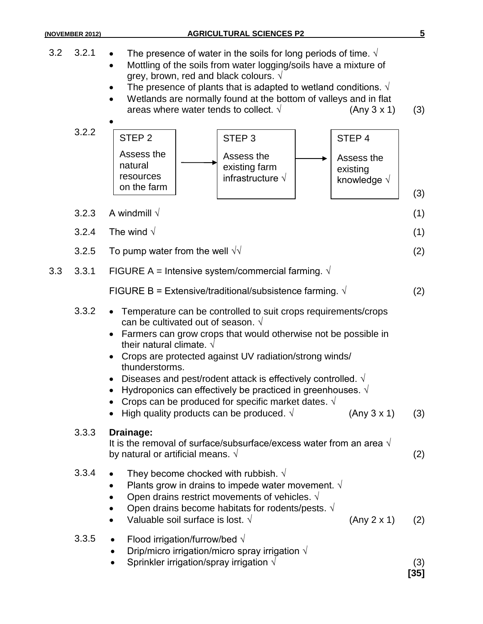|     | (NOVEMBER 2012) | <b>AGRICULTURAL SCIENCES P2</b>                                                                                                                                                                                                                                                                                                                                                                                                                                                                                                                                                       | 5             |  |  |  |
|-----|-----------------|---------------------------------------------------------------------------------------------------------------------------------------------------------------------------------------------------------------------------------------------------------------------------------------------------------------------------------------------------------------------------------------------------------------------------------------------------------------------------------------------------------------------------------------------------------------------------------------|---------------|--|--|--|
| 3.2 | 3.2.1           | The presence of water in the soils for long periods of time. $\sqrt{ }$<br>Mottling of the soils from water logging/soils have a mixture of<br>grey, brown, red and black colours. $\sqrt{}$<br>The presence of plants that is adapted to wetland conditions. $\sqrt{ }$<br>Wetlands are normally found at the bottom of valleys and in flat<br>areas where water tends to collect. $\sqrt{ }$<br>(Any 3 x 1)                                                                                                                                                                         |               |  |  |  |
|     | 3.2.2           | STEP <sub>2</sub><br>STEP <sub>3</sub><br>STEP <sub>4</sub><br>Assess the<br>Assess the<br>Assess the<br>natural<br>existing farm<br>existing<br>resources<br>infrastructure $\sqrt{ }$<br>knowledge $\sqrt{ }$<br>on the farm                                                                                                                                                                                                                                                                                                                                                        | (3)           |  |  |  |
|     | 3.2.3           | A windmill $\sqrt$                                                                                                                                                                                                                                                                                                                                                                                                                                                                                                                                                                    | (1)           |  |  |  |
|     | 3.2.4           | The wind $\sqrt{ }$                                                                                                                                                                                                                                                                                                                                                                                                                                                                                                                                                                   | (1)           |  |  |  |
|     | 3.2.5           | To pump water from the well $\sqrt{v}$                                                                                                                                                                                                                                                                                                                                                                                                                                                                                                                                                | (2)           |  |  |  |
| 3.3 | 3.3.1           | FIGURE A = Intensive system/commercial farming. $\sqrt{ }$                                                                                                                                                                                                                                                                                                                                                                                                                                                                                                                            |               |  |  |  |
|     |                 | FIGURE B = Extensive/traditional/subsistence farming. $\sqrt{ }$                                                                                                                                                                                                                                                                                                                                                                                                                                                                                                                      | (2)           |  |  |  |
|     | 3.3.2           | • Temperature can be controlled to suit crops requirements/crops<br>can be cultivated out of season. $\sqrt{ }$<br>Farmers can grow crops that would otherwise not be possible in<br>their natural climate. $\sqrt{ }$<br>Crops are protected against UV radiation/strong winds/<br>thunderstorms.<br>Diseases and pest/rodent attack is effectively controlled. $\sqrt{ }$<br>Hydroponics can effectively be practiced in greenhouses. $\sqrt{ }$<br>Crops can be produced for specific market dates. $\sqrt{ }$<br>High quality products can be produced. $\sqrt{ }$<br>(Any 3 x 1) | (3)           |  |  |  |
|     | 3.3.3           | Drainage:<br>It is the removal of surface/subsurface/excess water from an area $\sqrt{ }$<br>by natural or artificial means. $\sqrt{ }$                                                                                                                                                                                                                                                                                                                                                                                                                                               |               |  |  |  |
|     | 3.3.4           | They become chocked with rubbish. $\sqrt{ }$<br>Plants grow in drains to impede water movement. $\sqrt{ }$<br>Open drains restrict movements of vehicles. $\sqrt{ }$<br>Open drains become habitats for rodents/pests. $\sqrt{ }$<br>Valuable soil surface is lost. $\sqrt{ }$<br>(Any 2 x 1)                                                                                                                                                                                                                                                                                         | (2)           |  |  |  |
|     | 3.3.5           | Flood irrigation/furrow/bed $\sqrt{}$<br>Drip/micro irrigation/micro spray irrigation $\sqrt{ }$<br>Sprinkler irrigation/spray irrigation $\sqrt{ }$                                                                                                                                                                                                                                                                                                                                                                                                                                  | (3)<br>$[35]$ |  |  |  |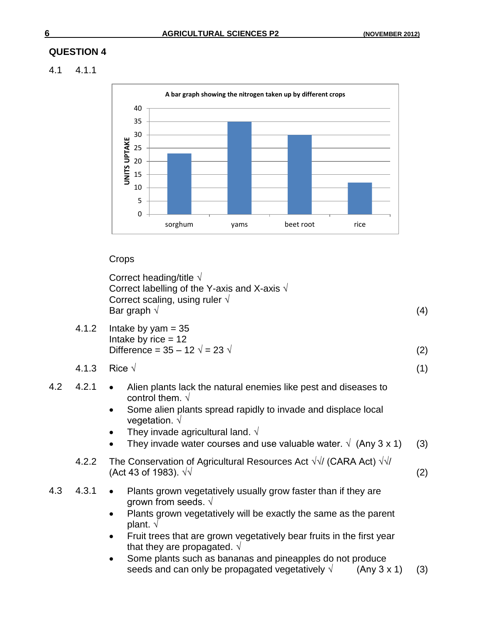## **QUESTION 4**

### 4.1 4.1.1



#### Crops

| Correct heading/title $\sqrt{ }$                      |     |
|-------------------------------------------------------|-----|
| Correct labelling of the Y-axis and X-axis $\sqrt{ }$ |     |
| Correct scaling, using ruler $\sqrt{ }$               |     |
| Bar graph $\sqrt{ }$                                  | (4) |

- 4.1.2 Intake by yam  $= 35$ Intake by rice  $= 12$ Difference =  $35 - 12 \sqrt{ } = 23 \sqrt{ }$  (2)
- 4.1.3 Rice √ (1)
- 4.2 4.2.1 Alien plants lack the natural enemies like pest and diseases to control them. √
	- Some alien plants spread rapidly to invade and displace local vegetation. √
	- They invade agricultural land.  $\sqrt{ }$
	- They invade water courses and use valuable water.  $\sqrt{(Any 3 x 1)}$  (3)
	- 4.2.2 The Conservation of Agricultural Resources Act  $\sqrt{\sqrt{}}$  (CARA Act)  $\sqrt{\sqrt{}}$  $(Act 43 of 1983). √√$  (2)
- 4.3 4.3.1 Plants grown vegetatively usually grow faster than if they are grown from seeds.  $\sqrt{ }$ 
	- Plants grown vegetatively will be exactly the same as the parent plant. √
	- Fruit trees that are grown vegetatively bear fruits in the first year that they are propagated.  $\sqrt{ }$
	- Some plants such as bananas and pineapples do not produce seeds and can only be propagated vegetatively  $\sqrt{(Any 3 x 1)}$  (3)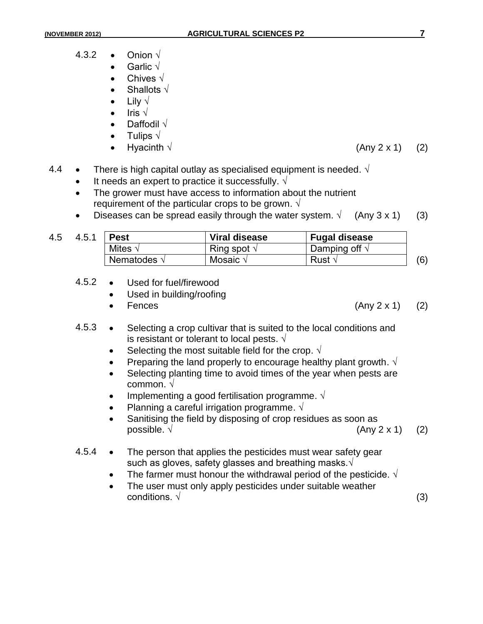- 4.3.2 Onion  $\sqrt{ }$ 
	- Garlic √
		- Chives √
	- Shallots √
	- Lily √
	- Iris √
	- Daffodil √
	- Tulips  $\sqrt{ }$
	- - Hyacinth  $\sqrt{2 \times 1}$  (Any 2 x 1) (2)
- 4.4 There is high capital outlay as specialised equipment is needed.  $\sqrt{ }$ 
	- It needs an expert to practice it successfully.  $\sqrt{ }$
	- The grower must have access to information about the nutrient requirement of the particular crops to be grown.  $\sqrt{ }$
	- Diseases can be spread easily through the water system.  $\sqrt{(A_n + A_n)}$  (3) (3)

| 4.5 | 4.5.1 | <b>Pest</b>          | Viral disease        | <b>Fugal disease</b>   |  |
|-----|-------|----------------------|----------------------|------------------------|--|
|     |       | Mites $\sqrt{}$      | Ring spot $\sqrt{ }$ | Damping off $\sqrt{ }$ |  |
|     |       | Nematodes $\sqrt{ }$ | Mosaic $\sqrt{}$     | Rust √                 |  |

- 4.5.2 Used for fuel/firewood
	- Used in building/roofing
	-

• Fences (Any  $2 \times 1$ ) (2)

- 4.5.3 Selecting a crop cultivar that is suited to the local conditions and is resistant or tolerant to local pests.  $\sqrt{}$ 
	- Selecting the most suitable field for the crop.  $\sqrt{ }$
	- Preparing the land properly to encourage healthy plant growth.  $\sqrt{ }$
	- Selecting planting time to avoid times of the year when pests are common. √
	- Implementing a good fertilisation programme.  $\sqrt{ }$
	- Planning a careful irrigation programme.  $\sqrt{ }$
	- Sanitising the field by disposing of crop residues as soon as possible.  $\sqrt{(A_0 \cdot A_1)(2)}$
- 4.5.4 The person that applies the pesticides must wear safety gear such as gloves, safety glasses and breathing masks.√
	- The farmer must honour the withdrawal period of the pesticide.  $\sqrt{ }$
	- The user must only apply pesticides under suitable weather conditions.  $\sqrt{ }$  (3)